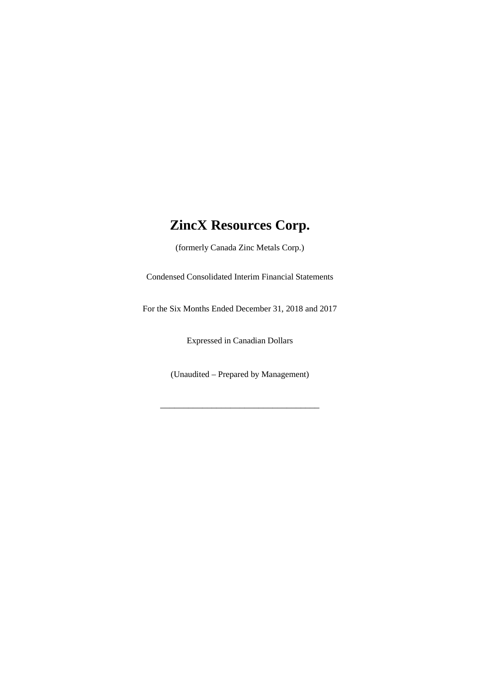(formerly Canada Zinc Metals Corp.)

Condensed Consolidated Interim Financial Statements

For the Six Months Ended December 31, 2018 and 2017

Expressed in Canadian Dollars

(Unaudited – Prepared by Management)

\_\_\_\_\_\_\_\_\_\_\_\_\_\_\_\_\_\_\_\_\_\_\_\_\_\_\_\_\_\_\_\_\_\_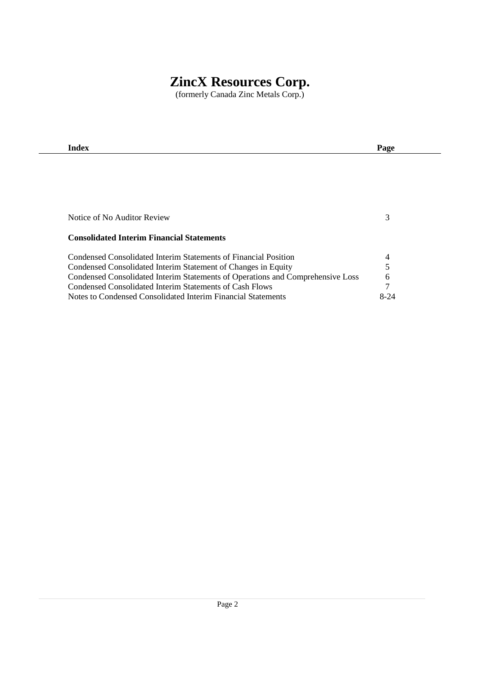(formerly Canada Zinc Metals Corp.)

| Index                                                                          | Page   |
|--------------------------------------------------------------------------------|--------|
|                                                                                |        |
|                                                                                |        |
|                                                                                |        |
|                                                                                |        |
|                                                                                |        |
| Notice of No Auditor Review                                                    | 3      |
|                                                                                |        |
| <b>Consolidated Interim Financial Statements</b>                               |        |
| Condensed Consolidated Interim Statements of Financial Position                | 4      |
| Condensed Consolidated Interim Statement of Changes in Equity                  | 5      |
| Condensed Consolidated Interim Statements of Operations and Comprehensive Loss | 6      |
| Condensed Consolidated Interim Statements of Cash Flows                        | 7      |
| Notes to Condensed Consolidated Interim Financial Statements                   | $8-24$ |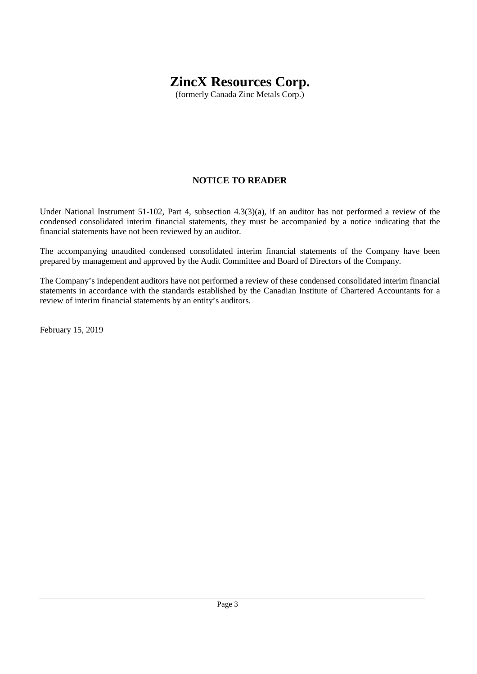(formerly Canada Zinc Metals Corp.)

## **NOTICE TO READER**

Under National Instrument 51-102, Part 4, subsection 4.3(3)(a), if an auditor has not performed a review of the condensed consolidated interim financial statements, they must be accompanied by a notice indicating that the financial statements have not been reviewed by an auditor.

The accompanying unaudited condensed consolidated interim financial statements of the Company have been prepared by management and approved by the Audit Committee and Board of Directors of the Company.

The Company's independent auditors have not performed a review of these condensed consolidated interim financial statements in accordance with the standards established by the Canadian Institute of Chartered Accountants for a review of interim financial statements by an entity's auditors.

February 15, 2019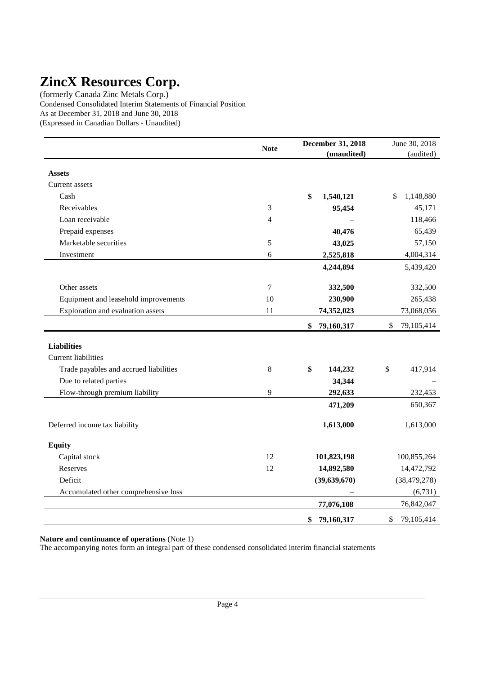(formerly Canada Zinc Metals Corp.) Condensed Consolidated Interim Statements of Financial Position As at December 31, 2018 and June 30, 2018 (Expressed in Canadian Dollars - Unaudited)

|                                        | <b>Note</b> | <b>December 31, 2018</b> | June 30, 2018    |
|----------------------------------------|-------------|--------------------------|------------------|
|                                        |             | (unaudited)              | (audited)        |
| <b>Assets</b>                          |             |                          |                  |
| Current assets                         |             |                          |                  |
| Cash                                   |             | \$<br>1,540,121          | 1,148,880<br>\$  |
| Receivables                            | 3           | 95,454                   | 45,171           |
| Loan receivable                        | 4           |                          | 118,466          |
| Prepaid expenses                       |             | 40,476                   | 65,439           |
| Marketable securities                  | 5           | 43,025                   | 57,150           |
| Investment                             | 6           | 2,525,818                | 4,004,314        |
|                                        |             | 4,244,894                | 5,439,420        |
| Other assets                           | 7           | 332,500                  | 332,500          |
| Equipment and leasehold improvements   | 10          | 230,900                  | 265,438          |
| Exploration and evaluation assets      | 11          | 74,352,023               | 73,068,056       |
|                                        |             | 79,160,317<br>\$         | \$<br>79,105,414 |
| <b>Liabilities</b>                     |             |                          |                  |
| <b>Current liabilities</b>             |             |                          |                  |
| Trade payables and accrued liabilities | 8           | \$<br>144,232            | \$<br>417,914    |
| Due to related parties                 |             | 34,344                   |                  |
| Flow-through premium liability         | 9           | 292,633                  | 232,453          |
|                                        |             | 471,209                  | 650,367          |
| Deferred income tax liability          |             | 1,613,000                | 1,613,000        |
| <b>Equity</b>                          |             |                          |                  |
| Capital stock                          | 12          | 101,823,198              | 100,855,264      |
| Reserves                               | 12          | 14,892,580               | 14,472,792       |
| Deficit                                |             | (39, 639, 670)           | (38, 479, 278)   |
| Accumulated other comprehensive loss   |             |                          | (6,731)          |
|                                        |             | 77,076,108               | 76,842,047       |
|                                        |             | 79,160,317<br>\$         | \$<br>79,105,414 |

**Nature and continuance of operations** (Note 1)

The accompanying notes form an integral part of these condensed consolidated interim financial statements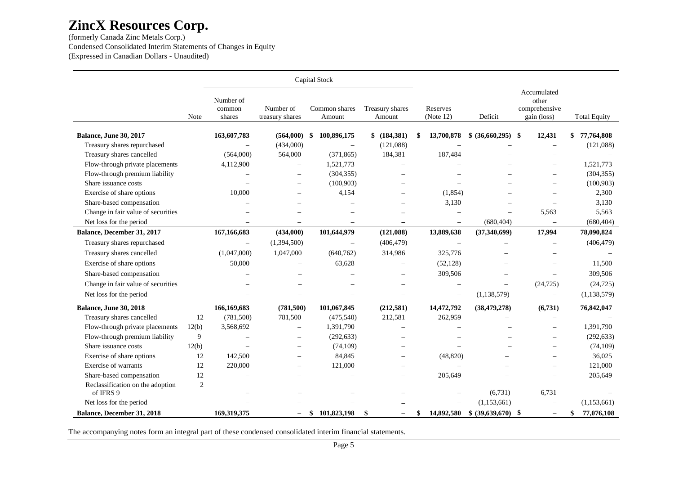(formerly Canada Zinc Metals Corp.) Condensed Consolidated Interim Statements of Changes in Equity (Expressed in Canadian Dollars - Unaudited)

|                                               |       |                               |                              |      | Capital Stock            |                                |    |                          |                          |                                                      |                     |
|-----------------------------------------------|-------|-------------------------------|------------------------------|------|--------------------------|--------------------------------|----|--------------------------|--------------------------|------------------------------------------------------|---------------------|
|                                               | Note  | Number of<br>common<br>shares | Number of<br>treasury shares |      | Common shares<br>Amount  | Treasury shares<br>Amount      |    | Reserves<br>(Note 12)    | Deficit                  | Accumulated<br>other<br>comprehensive<br>gain (loss) | <b>Total Equity</b> |
| <b>Balance, June 30, 2017</b>                 |       | 163,607,783                   | (564,000)                    | - \$ | 100,896,175              | \$ (184,381)                   | S  | 13,700,878               | $$ (36,660,295)$ \\$     | 12,431                                               | \$<br>77,764,808    |
| Treasury shares repurchased                   |       |                               | (434,000)                    |      | $\equiv$                 | (121,088)                      |    |                          |                          | $\overline{\phantom{a}}$                             | (121,088)           |
| Treasury shares cancelled                     |       | (564,000)                     | 564,000                      |      | (371, 865)               | 184,381                        |    | 187,484                  |                          |                                                      |                     |
| Flow-through private placements               |       | 4,112,900                     |                              |      | 1,521,773                |                                |    |                          |                          |                                                      | 1,521,773           |
| Flow-through premium liability                |       |                               |                              |      | (304, 355)               |                                |    |                          |                          | $\overline{\phantom{0}}$                             | (304, 355)          |
| Share issuance costs                          |       |                               | $\overline{\phantom{0}}$     |      | (100, 903)               |                                |    |                          |                          | $\overline{\phantom{0}}$                             | (100, 903)          |
| Exercise of share options                     |       | 10,000                        |                              |      | 4,154                    |                                |    | (1,854)                  |                          |                                                      | 2,300               |
| Share-based compensation                      |       |                               | $\overline{\phantom{0}}$     |      |                          |                                |    | 3,130                    |                          |                                                      | 3,130               |
| Change in fair value of securities            |       |                               |                              |      |                          |                                |    | $\equiv$                 |                          | 5,563                                                | 5,563               |
| Net loss for the period                       |       |                               | $\equiv$                     |      | $\overline{\phantom{0}}$ | $\overline{\phantom{0}}$       |    | $\overline{\phantom{m}}$ | (680, 404)               | $\overline{\phantom{m}}$                             | (680, 404)          |
| Balance, December 31, 2017                    |       | 167, 166, 683                 | (434,000)                    |      | 101,644,979              | (121,088)                      |    | 13,889,638               | (37,340,699)             | 17,994                                               | 78,090,824          |
| Treasury shares repurchased                   |       | $\overline{\phantom{0}}$      | (1,394,500)                  |      |                          | (406, 479)                     |    |                          |                          |                                                      | (406, 479)          |
| Treasury shares cancelled                     |       | (1,047,000)                   | 1,047,000                    |      | (640, 762)               | 314,986                        |    | 325,776                  |                          |                                                      |                     |
| Exercise of share options                     |       | 50,000                        |                              |      | 63,628                   | $\overline{\phantom{0}}$       |    | (52, 128)                |                          |                                                      | 11,500              |
| Share-based compensation                      |       |                               |                              |      |                          | $\overline{\phantom{0}}$       |    | 309,506                  | $\overline{\phantom{0}}$ |                                                      | 309,506             |
| Change in fair value of securities            |       |                               |                              |      |                          | $\overline{\phantom{0}}$       |    |                          | $\overline{\phantom{0}}$ | (24, 725)                                            | (24, 725)           |
| Net loss for the period                       |       |                               |                              |      |                          | $\equiv$                       |    | $\overline{\phantom{m}}$ | (1, 138, 579)            | $\overline{\phantom{0}}$                             | (1, 138, 579)       |
| Balance, June 30, 2018                        |       | 166,169,683                   | (781, 500)                   |      | 101,067,845              | (212, 581)                     |    | 14,472,792               | (38, 479, 278)           | (6,731)                                              | 76,842,047          |
| Treasury shares cancelled                     | 12    | (781, 500)                    | 781,500                      |      | (475,540)                | 212,581                        |    | 262,959                  |                          |                                                      |                     |
| Flow-through private placements               | 12(b) | 3,568,692                     |                              |      | 1,391,790                |                                |    |                          |                          |                                                      | 1,391,790           |
| Flow-through premium liability                | 9     |                               | $\overline{\phantom{0}}$     |      | (292, 633)               | $\overline{\phantom{0}}$       |    |                          |                          | $\overline{\phantom{0}}$                             | (292, 633)          |
| Share issuance costs                          | 12(b) |                               | $\overline{\phantom{0}}$     |      | (74, 109)                | $\overline{\phantom{0}}$       |    |                          |                          | $\overline{\phantom{0}}$                             | (74, 109)           |
| Exercise of share options                     | 12    | 142,500                       |                              |      | 84,845                   |                                |    | (48, 820)                |                          |                                                      | 36,025              |
| Exercise of warrants                          | 12    | 220,000                       | $\overline{\phantom{0}}$     |      | 121,000                  | $\overline{\phantom{0}}$       |    |                          |                          | $\overline{\phantom{0}}$                             | 121,000             |
| Share-based compensation                      | 12    |                               |                              |      |                          | -                              |    | 205,649                  |                          |                                                      | 205,649             |
| Reclassification on the adoption<br>of IFRS 9 | 2     |                               |                              |      |                          |                                |    |                          | (6,731)                  | 6,731                                                |                     |
| Net loss for the period                       |       |                               |                              |      |                          | $\overline{\phantom{0}}$       |    |                          | (1,153,661)              |                                                      | (1,153,661)         |
| Balance, December 31, 2018                    |       | 169,319,375                   | $-$                          |      | \$101,823,198            | \$<br>$\overline{\phantom{0}}$ | \$ | 14,892,580               | $$ (39,639,670)$ \\$     | $\overline{\phantom{0}}$                             | \$<br>77,076,108    |

The accompanying notes form an integral part of these condensed consolidated interim financial statements.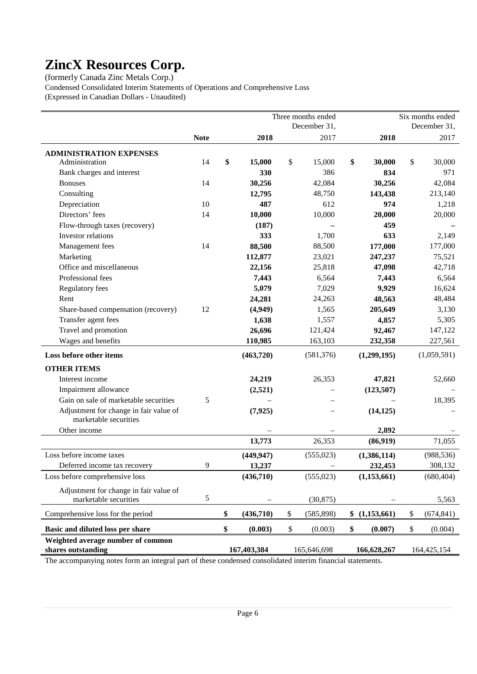(formerly Canada Zinc Metals Corp.)

Condensed Consolidated Interim Statements of Operations and Comprehensive Loss (Expressed in Canadian Dollars - Unaudited)

|                                                                 |             |                 | Three months ended |               | Six months ended |
|-----------------------------------------------------------------|-------------|-----------------|--------------------|---------------|------------------|
|                                                                 |             |                 | December 31,       |               | December 31,     |
|                                                                 | <b>Note</b> | 2018            | 2017               | 2018          | 2017             |
| <b>ADMINISTRATION EXPENSES</b>                                  |             |                 |                    |               |                  |
| Administration                                                  | 14          | \$<br>15,000    | \$<br>15,000       | \$<br>30,000  | \$<br>30,000     |
| Bank charges and interest                                       |             | 330             | 386                | 834           | 971              |
| <b>Bonuses</b>                                                  | 14          | 30,256          | 42,084             | 30,256        | 42,084           |
| Consulting                                                      |             | 12,795          | 48,750             | 143,438       | 213,140          |
| Depreciation                                                    | 10          | 487             | 612                | 974           | 1,218            |
| Directors' fees                                                 | 14          | 10,000          | 10,000             | 20,000        | 20,000           |
| Flow-through taxes (recovery)                                   |             | (187)           |                    | 459           |                  |
| Investor relations                                              |             | 333             | 1,700              | 633           | 2,149            |
| Management fees                                                 | 14          | 88,500          | 88,500             | 177,000       | 177,000          |
| Marketing                                                       |             | 112,877         | 23,021             | 247,237       | 75,521           |
| Office and miscellaneous                                        |             | 22,156          | 25,818             | 47,098        | 42,718           |
| Professional fees                                               |             | 7,443           | 6,564              | 7,443         | 6,564            |
| Regulatory fees                                                 |             | 5,079           | 7,029              | 9,929         | 16,624           |
| Rent                                                            |             | 24,281          | 24,263             | 48,563        | 48,484           |
| Share-based compensation (recovery)                             | 12          | (4,949)         | 1,565              | 205,649       | 3,130            |
| Transfer agent fees                                             |             | 1,638           | 1,557              | 4,857         | 5,305            |
| Travel and promotion                                            |             | 26,696          | 121,424            | 92,467        | 147,122          |
| Wages and benefits                                              |             | 110,985         | 163,103            | 232,358       | 227,561          |
| Loss before other items                                         |             | (463,720)       | (581, 376)         | (1,299,195)   | (1,059,591)      |
| <b>OTHER ITEMS</b>                                              |             |                 |                    |               |                  |
| Interest income                                                 |             | 24,219          | 26,353             | 47,821        | 52,660           |
| Impairment allowance                                            |             | (2,521)         |                    | (123, 507)    |                  |
| Gain on sale of marketable securities                           | 5           |                 |                    |               | 18,395           |
| Adjustment for change in fair value of<br>marketable securities |             | (7, 925)        |                    | (14, 125)     |                  |
| Other income                                                    |             |                 |                    | 2,892         |                  |
|                                                                 |             | 13,773          | 26,353             | (86,919)      | 71,055           |
| Loss before income taxes                                        |             | (449, 947)      | (555, 023)         | (1,386,114)   | (988, 536)       |
| Deferred income tax recovery                                    | 9           | 13,237          |                    | 232,453       | 308,132          |
| Loss before comprehensive loss                                  |             | (436,710)       | (555, 023)         | (1,153,661)   | (680, 404)       |
| Adjustment for change in fair value of                          |             |                 |                    |               |                  |
| marketable securities                                           | 5           |                 | (30, 875)          |               | 5,563            |
| Comprehensive loss for the period                               |             | \$<br>(436,710) | \$<br>(585, 898)   | \$(1,153,661) | \$<br>(674, 841) |
| Basic and diluted loss per share                                |             | \$<br>(0.003)   | \$<br>(0.003)      | \$<br>(0.007) | \$<br>(0.004)    |
| Weighted average number of common                               |             |                 |                    |               |                  |
| shares outstanding                                              |             | 167,403,384     | 165,646,698        | 166,628,267   | 164,425,154      |

The accompanying notes form an integral part of these condensed consolidated interim financial statements.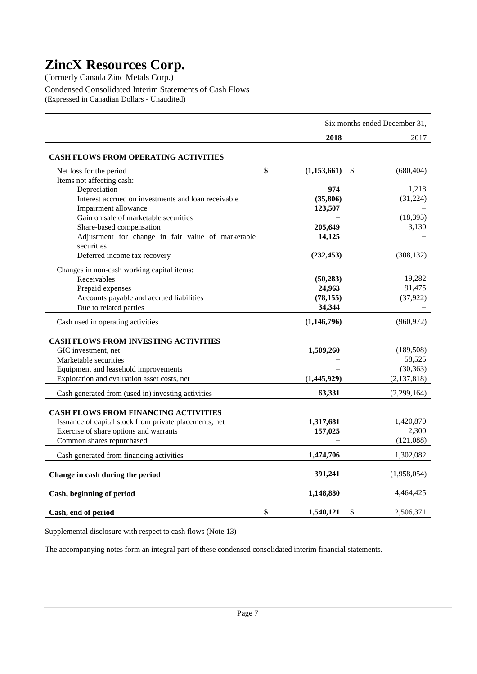(formerly Canada Zinc Metals Corp.) Condensed Consolidated Interim Statements of Cash Flows

(Expressed in Canadian Dollars - Unaudited)

|                                                                 | Six months ended December 31, |    |                      |  |  |  |
|-----------------------------------------------------------------|-------------------------------|----|----------------------|--|--|--|
|                                                                 | 2018                          |    | 2017                 |  |  |  |
| <b>CASH FLOWS FROM OPERATING ACTIVITIES</b>                     |                               |    |                      |  |  |  |
| Net loss for the period                                         | \$<br>(1,153,661)             | \$ | (680, 404)           |  |  |  |
| Items not affecting cash:                                       |                               |    |                      |  |  |  |
| Depreciation                                                    | 974                           |    | 1,218                |  |  |  |
| Interest accrued on investments and loan receivable             | (35, 806)                     |    | (31, 224)            |  |  |  |
| Impairment allowance                                            | 123,507                       |    |                      |  |  |  |
| Gain on sale of marketable securities                           |                               |    | (18, 395)            |  |  |  |
| Share-based compensation                                        | 205,649                       |    | 3,130                |  |  |  |
| Adjustment for change in fair value of marketable<br>securities | 14,125                        |    |                      |  |  |  |
| Deferred income tax recovery                                    | (232, 453)                    |    | (308, 132)           |  |  |  |
| Changes in non-cash working capital items:                      |                               |    |                      |  |  |  |
| Receivables                                                     | (50, 283)                     |    | 19,282               |  |  |  |
| Prepaid expenses                                                | 24,963                        |    | 91,475               |  |  |  |
| Accounts payable and accrued liabilities                        | (78, 155)                     |    | (37, 922)            |  |  |  |
| Due to related parties                                          | 34,344                        |    |                      |  |  |  |
| Cash used in operating activities                               | (1,146,796)                   |    | (960, 972)           |  |  |  |
|                                                                 |                               |    |                      |  |  |  |
| <b>CASH FLOWS FROM INVESTING ACTIVITIES</b>                     |                               |    |                      |  |  |  |
| GIC investment, net<br>Marketable securities                    | 1,509,260                     |    | (189, 508)<br>58,525 |  |  |  |
|                                                                 |                               |    | (30, 363)            |  |  |  |
| Equipment and leasehold improvements                            |                               |    |                      |  |  |  |
| Exploration and evaluation asset costs, net                     | (1,445,929)                   |    | (2, 137, 818)        |  |  |  |
| Cash generated from (used in) investing activities              | 63,331                        |    | (2,299,164)          |  |  |  |
| <b>CASH FLOWS FROM FINANCING ACTIVITIES</b>                     |                               |    |                      |  |  |  |
| Issuance of capital stock from private placements, net          | 1,317,681                     |    | 1,420,870            |  |  |  |
| Exercise of share options and warrants                          | 157,025                       |    | 2,300                |  |  |  |
| Common shares repurchased                                       |                               |    | (121,088)            |  |  |  |
|                                                                 |                               |    | 1,302,082            |  |  |  |
| Cash generated from financing activities                        | 1,474,706                     |    |                      |  |  |  |
| Change in cash during the period                                | 391,241                       |    | (1,958,054)          |  |  |  |
| Cash, beginning of period                                       | 1,148,880                     |    | 4,464,425            |  |  |  |
| Cash, end of period                                             | \$<br>1,540,121               | \$ | 2,506,371            |  |  |  |

Supplemental disclosure with respect to cash flows (Note 13)

The accompanying notes form an integral part of these condensed consolidated interim financial statements.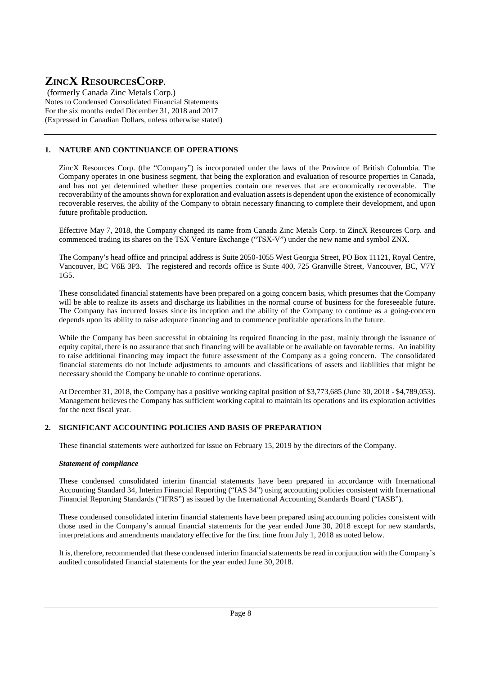(formerly Canada Zinc Metals Corp.) Notes to Condensed Consolidated Financial Statements For the six months ended December 31, 2018 and 2017 (Expressed in Canadian Dollars, unless otherwise stated)

## **1. NATURE AND CONTINUANCE OF OPERATIONS**

ZincX Resources Corp. (the "Company") is incorporated under the laws of the Province of British Columbia. The Company operates in one business segment, that being the exploration and evaluation of resource properties in Canada, and has not yet determined whether these properties contain ore reserves that are economically recoverable. The recoverability of the amounts shown for exploration and evaluation assets is dependent upon the existence of economically recoverable reserves, the ability of the Company to obtain necessary financing to complete their development, and upon future profitable production.

Effective May 7, 2018, the Company changed its name from Canada Zinc Metals Corp. to ZincX Resources Corp. and commenced trading its shares on the TSX Venture Exchange ("TSX-V") under the new name and symbol ZNX.

The Company's head office and principal address is Suite 2050-1055 West Georgia Street, PO Box 11121, Royal Centre, Vancouver, BC V6E 3P3. The registered and records office is Suite 400, 725 Granville Street, Vancouver, BC, V7Y 1G5.

These consolidated financial statements have been prepared on a going concern basis, which presumes that the Company will be able to realize its assets and discharge its liabilities in the normal course of business for the foreseeable future. The Company has incurred losses since its inception and the ability of the Company to continue as a going-concern depends upon its ability to raise adequate financing and to commence profitable operations in the future.

While the Company has been successful in obtaining its required financing in the past, mainly through the issuance of equity capital, there is no assurance that such financing will be available or be available on favorable terms. An inability to raise additional financing may impact the future assessment of the Company as a going concern. The consolidated financial statements do not include adjustments to amounts and classifications of assets and liabilities that might be necessary should the Company be unable to continue operations.

At December 31, 2018, the Company has a positive working capital position of \$3,773,685 (June 30, 2018 - \$4,789,053). Management believes the Company has sufficient working capital to maintain its operations and its exploration activities for the next fiscal year.

### **2. SIGNIFICANT ACCOUNTING POLICIES AND BASIS OF PREPARATION**

These financial statements were authorized for issue on February 15, 2019 by the directors of the Company.

### *Statement of compliance*

These condensed consolidated interim financial statements have been prepared in accordance with International Accounting Standard 34, Interim Financial Reporting ("IAS 34") using accounting policies consistent with International Financial Reporting Standards ("IFRS") as issued by the International Accounting Standards Board ("IASB").

These condensed consolidated interim financial statements have been prepared using accounting policies consistent with those used in the Company's annual financial statements for the year ended June 30, 2018 except for new standards, interpretations and amendments mandatory effective for the first time from July 1, 2018 as noted below.

It is, therefore, recommended that these condensed interim financial statements be read in conjunction with the Company's audited consolidated financial statements for the year ended June 30, 2018.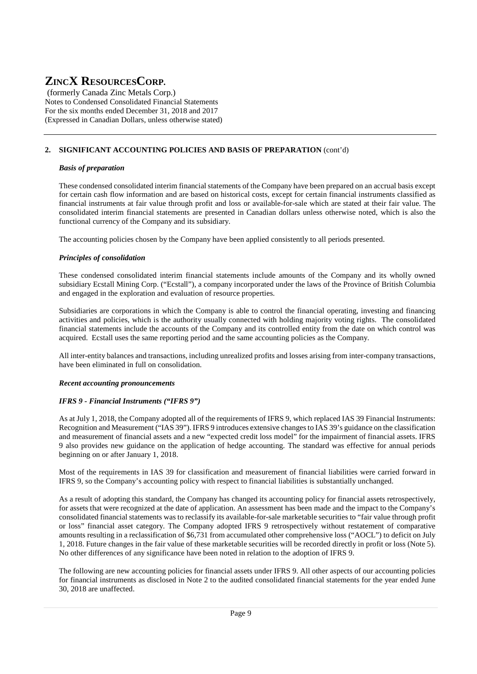(formerly Canada Zinc Metals Corp.) Notes to Condensed Consolidated Financial Statements For the six months ended December 31, 2018 and 2017 (Expressed in Canadian Dollars, unless otherwise stated)

## **2. SIGNIFICANT ACCOUNTING POLICIES AND BASIS OF PREPARATION** (cont'd)

#### *Basis of preparation*

These condensed consolidated interim financial statements of the Company have been prepared on an accrual basis except for certain cash flow information and are based on historical costs, except for certain financial instruments classified as financial instruments at fair value through profit and loss or available-for-sale which are stated at their fair value. The consolidated interim financial statements are presented in Canadian dollars unless otherwise noted, which is also the functional currency of the Company and its subsidiary.

The accounting policies chosen by the Company have been applied consistently to all periods presented.

#### *Principles of consolidation*

These condensed consolidated interim financial statements include amounts of the Company and its wholly owned subsidiary Ecstall Mining Corp. ("Ecstall"), a company incorporated under the laws of the Province of British Columbia and engaged in the exploration and evaluation of resource properties.

Subsidiaries are corporations in which the Company is able to control the financial operating, investing and financing activities and policies, which is the authority usually connected with holding majority voting rights. The consolidated financial statements include the accounts of the Company and its controlled entity from the date on which control was acquired. Ecstall uses the same reporting period and the same accounting policies as the Company.

All inter-entity balances and transactions, including unrealized profits and losses arising from inter-company transactions, have been eliminated in full on consolidation.

### *Recent accounting pronouncements*

### *IFRS 9 - Financial Instruments ("IFRS 9")*

As at July 1, 2018, the Company adopted all of the requirements of IFRS 9, which replaced IAS 39 Financial Instruments: Recognition and Measurement ("IAS 39"). IFRS 9 introduces extensive changes to IAS 39's guidance on the classification and measurement of financial assets and a new "expected credit loss model" for the impairment of financial assets. IFRS 9 also provides new guidance on the application of hedge accounting. The standard was effective for annual periods beginning on or after January 1, 2018.

Most of the requirements in IAS 39 for classification and measurement of financial liabilities were carried forward in IFRS 9, so the Company's accounting policy with respect to financial liabilities is substantially unchanged.

As a result of adopting this standard, the Company has changed its accounting policy for financial assets retrospectively, for assets that were recognized at the date of application. An assessment has been made and the impact to the Company's consolidated financial statements was to reclassify its available-for-sale marketable securities to "fair value through profit or loss" financial asset category. The Company adopted IFRS 9 retrospectively without restatement of comparative amounts resulting in a reclassification of \$6,731 from accumulated other comprehensive loss ("AOCL") to deficit on July 1, 2018. Future changes in the fair value of these marketable securities will be recorded directly in profit or loss (Note 5). No other differences of any significance have been noted in relation to the adoption of IFRS 9.

The following are new accounting policies for financial assets under IFRS 9. All other aspects of our accounting policies for financial instruments as disclosed in Note 2 to the audited consolidated financial statements for the year ended June 30, 2018 are unaffected.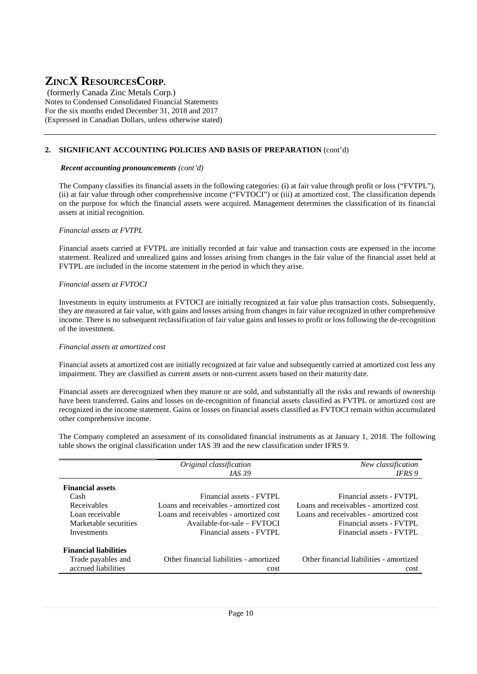(formerly Canada Zinc Metals Corp.) Notes to Condensed Consolidated Financial Statements For the six months ended December 31, 2018 and 2017 (Expressed in Canadian Dollars, unless otherwise stated)

### **2. SIGNIFICANT ACCOUNTING POLICIES AND BASIS OF PREPARATION** (cont'd)

#### *Recent accounting pronouncements (cont'd)*

The Company classifies its financial assets in the following categories: (i) at fair value through profit or loss ("FVTPL"), (ii) at fair value through other comprehensive income ("FVTOCI") or (iii) at amortized cost. The classification depends on the purpose for which the financial assets were acquired. Management determines the classification of its financial assets at initial recognition.

#### *Financial assets at FVTPL*

Financial assets carried at FVTPL are initially recorded at fair value and transaction costs are expensed in the income statement. Realized and unrealized gains and losses arising from changes in the fair value of the financial asset held at FVTPL are included in the income statement in the period in which they arise.

#### *Financial assets at FVTOCI*

Investments in equity instruments at FVTOCI are initially recognized at fair value plus transaction costs. Subsequently, they are measured at fair value, with gains and losses arising from changes in fair value recognized in other comprehensive income. There is no subsequent reclassification of fair value gains and losses to profit or loss following the de-recognition of the investment.

#### *Financial assets at amortized cost*

Financial assets at amortized cost are initially recognized at fair value and subsequently carried at amortized cost less any impairment. They are classified as current assets or non-current assets based on their maturity date.

Financial assets are derecognized when they mature or are sold, and substantially all the risks and rewards of ownership have been transferred. Gains and losses on de-recognition of financial assets classified as FVTPL or amortized cost are recognized in the income statement. Gains or losses on financial assets classified as FVTOCI remain within accumulated other comprehensive income.

The Company completed an assessment of its consolidated financial instruments as at January 1, 2018. The following table shows the original classification under IAS 39 and the new classification under IFRS 9.

|                                           | Original classification<br><i>IAS</i> 39                                         | New classification<br><b>IFRS</b> <sub>9</sub>                                   |
|-------------------------------------------|----------------------------------------------------------------------------------|----------------------------------------------------------------------------------|
| <b>Financial assets</b><br>Cash           | Financial assets - FVTPL                                                         | Financial assets - FVTPL                                                         |
| Receivables<br>Loan receivable            | Loans and receivables - amortized cost<br>Loans and receivables - amortized cost | Loans and receivables - amortized cost<br>Loans and receivables - amortized cost |
| Marketable securities<br>Investments      | Available-for-sale – FVTOCI<br>Financial assets - FVTPL                          | Financial assets - FVTPL<br>Financial assets - FVTPL                             |
| <b>Financial liabilities</b>              |                                                                                  |                                                                                  |
| Trade payables and<br>accrued liabilities | Other financial liabilities - amortized<br>cost                                  | Other financial liabilities - amortized<br>cost                                  |
|                                           |                                                                                  |                                                                                  |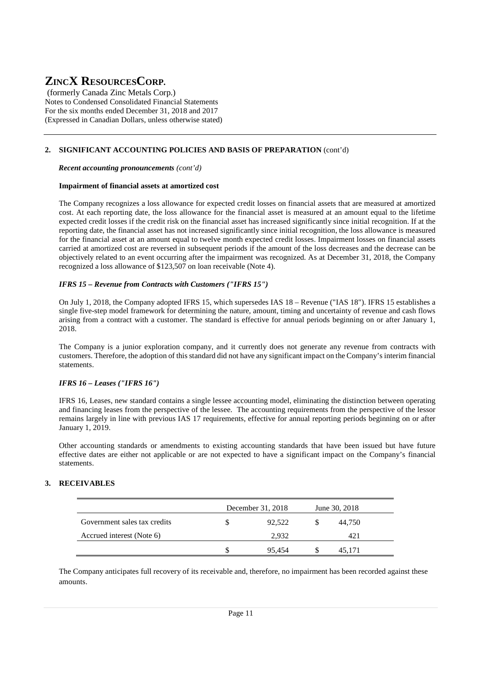(formerly Canada Zinc Metals Corp.) Notes to Condensed Consolidated Financial Statements For the six months ended December 31, 2018 and 2017 (Expressed in Canadian Dollars, unless otherwise stated)

### **2. SIGNIFICANT ACCOUNTING POLICIES AND BASIS OF PREPARATION** (cont'd)

 *Recent accounting pronouncements (cont'd)*

#### **Impairment of financial assets at amortized cost**

The Company recognizes a loss allowance for expected credit losses on financial assets that are measured at amortized cost. At each reporting date, the loss allowance for the financial asset is measured at an amount equal to the lifetime expected credit losses if the credit risk on the financial asset has increased significantly since initial recognition. If at the reporting date, the financial asset has not increased significantly since initial recognition, the loss allowance is measured for the financial asset at an amount equal to twelve month expected credit losses. Impairment losses on financial assets carried at amortized cost are reversed in subsequent periods if the amount of the loss decreases and the decrease can be objectively related to an event occurring after the impairment was recognized. As at December 31, 2018, the Company recognized a loss allowance of \$123,507 on loan receivable (Note 4).

#### *IFRS 15 – Revenue from Contracts with Customers ("IFRS 15")*

On July 1, 2018, the Company adopted IFRS 15, which supersedes IAS 18 – Revenue ("IAS 18"). IFRS 15 establishes a single five-step model framework for determining the nature, amount, timing and uncertainty of revenue and cash flows arising from a contract with a customer. The standard is effective for annual periods beginning on or after January 1, 2018.

The Company is a junior exploration company, and it currently does not generate any revenue from contracts with customers. Therefore, the adoption of this standard did not have any significant impact on the Company's interim financial statements.

#### *IFRS 16 – Leases ("IFRS 16")*

IFRS 16, Leases, new standard contains a single lessee accounting model, eliminating the distinction between operating and financing leases from the perspective of the lessee. The accounting requirements from the perspective of the lessor remains largely in line with previous IAS 17 requirements, effective for annual reporting periods beginning on or after January 1, 2019.

Other accounting standards or amendments to existing accounting standards that have been issued but have future effective dates are either not applicable or are not expected to have a significant impact on the Company's financial statements.

#### **3. RECEIVABLES**

|                              |   | December 31, 2018 |   | June 30, 2018 |  |
|------------------------------|---|-------------------|---|---------------|--|
| Government sales tax credits |   | 92.522            | S | 44.750        |  |
| Accrued interest (Note 6)    |   | 2.932             |   | 421           |  |
|                              | S | 95.454            |   | 45.171        |  |

The Company anticipates full recovery of its receivable and, therefore, no impairment has been recorded against these amounts.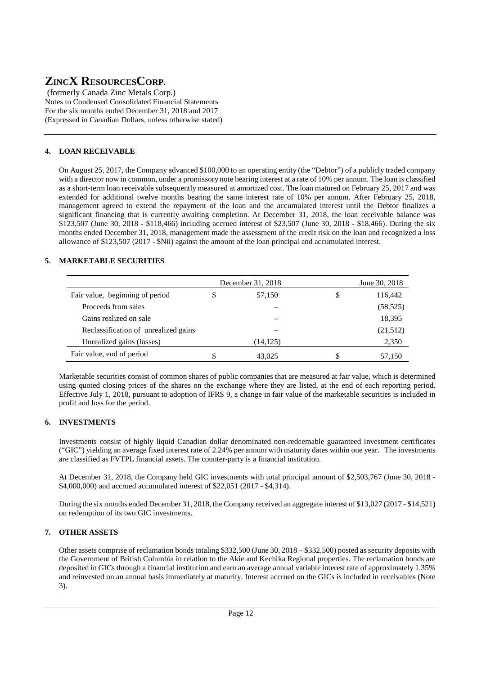(formerly Canada Zinc Metals Corp.) Notes to Condensed Consolidated Financial Statements For the six months ended December 31, 2018 and 2017 (Expressed in Canadian Dollars, unless otherwise stated)

### **4. LOAN RECEIVABLE**

On August 25, 2017, the Company advanced \$100,000 to an operating entity (the "Debtor") of a publicly traded company with a director now in common, under a promissory note bearing interest at a rate of 10% per annum. The loan is classified as a short-term loan receivable subsequently measured at amortized cost. The loan matured on February 25, 2017 and was extended for additional twelve months bearing the same interest rate of 10% per annum. After February 25, 2018, management agreed to extend the repayment of the loan and the accumulated interest until the Debtor finalizes a significant financing that is currently awaiting completion. At December 31, 2018, the loan receivable balance was \$123,507 (June 30, 2018 - \$118,466) including accrued interest of \$23,507 (June 30, 2018 - \$18,466). During the six months ended December 31, 2018, management made the assessment of the credit risk on the loan and recognized a loss allowance of \$123,507 (2017 - \$Nil) against the amount of the loan principal and accumulated interest.

### **5. MARKETABLE SECURITIES**

|                                      |   | December 31, 2018 | June 30, 2018 |
|--------------------------------------|---|-------------------|---------------|
| Fair value, beginning of period      | S | 57,150            | 116,442       |
| Proceeds from sales                  |   |                   | (58, 525)     |
| Gains realized on sale               |   |                   | 18,395        |
| Reclassification of unrealized gains |   |                   | (21,512)      |
| Unrealized gains (losses)            |   | (14, 125)         | 2,350         |
| Fair value, end of period            |   | 43,025            | 57,150        |

Marketable securities consist of common shares of public companies that are measured at fair value, which is determined using quoted closing prices of the shares on the exchange where they are listed, at the end of each reporting period. Effective July 1, 2018, pursuant to adoption of IFRS 9, a change in fair value of the marketable securities is included in profit and loss for the period.

### **6. INVESTMENTS**

Investments consist of highly liquid Canadian dollar denominated non-redeemable guaranteed investment certificates ("GIC") yielding an average fixed interest rate of 2.24% per annum with maturity dates within one year. The investments are classified as FVTPL financial assets. The counter-party is a financial institution.

At December 31, 2018, the Company held GIC investments with total principal amount of \$2,503,767 (June 30, 2018 - \$4,000,000) and accrued accumulated interest of \$22,051 (2017 - \$4,314).

During the six months ended December 31, 2018, the Company received an aggregate interest of \$13,027 (2017 - \$14,521) on redemption of its two GIC investments.

### **7. OTHER ASSETS**

Other assets comprise of reclamation bonds totaling \$332,500 (June 30, 2018 – \$332,500) posted as security deposits with the Government of British Columbia in relation to the Akie and Kechika Regional properties. The reclamation bonds are deposited in GICs through a financial institution and earn an average annual variable interest rate of approximately 1.35% and reinvested on an annual basis immediately at maturity. Interest accrued on the GICs is included in receivables (Note 3).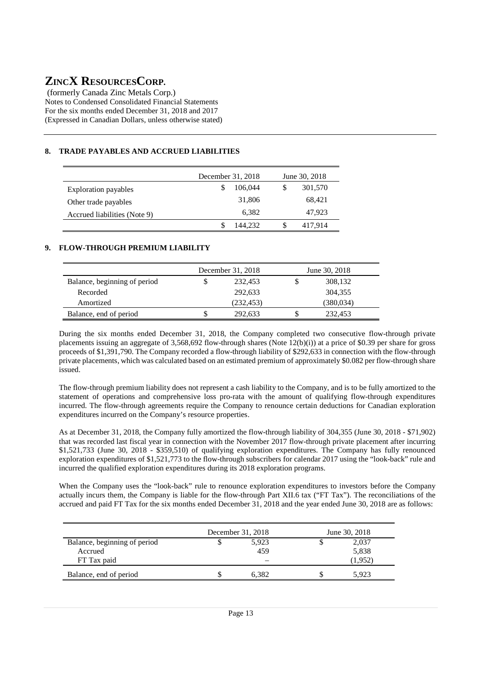(formerly Canada Zinc Metals Corp.) Notes to Condensed Consolidated Financial Statements For the six months ended December 31, 2018 and 2017 (Expressed in Canadian Dollars, unless otherwise stated)

### **8. TRADE PAYABLES AND ACCRUED LIABILITIES**

|                              | December 31, 2018 | June 30, 2018 |         |  |  |
|------------------------------|-------------------|---------------|---------|--|--|
| <b>Exploration payables</b>  | 106,044           | S             | 301,570 |  |  |
| Other trade payables         | 31,806            |               | 68,421  |  |  |
| Accrued liabilities (Note 9) | 6.382             |               | 47,923  |  |  |
|                              | 144.232           | S             | 417.914 |  |  |

### **9. FLOW-THROUGH PREMIUM LIABILITY**

|                              | December 31, 2018 | June 30, 2018 |            |  |  |  |
|------------------------------|-------------------|---------------|------------|--|--|--|
| Balance, beginning of period | 232.453           |               | 308,132    |  |  |  |
| Recorded                     | 292.633           |               | 304,355    |  |  |  |
| Amortized                    | (232, 453)        |               | (380, 034) |  |  |  |
| Balance, end of period       | 292.633           |               | 232.453    |  |  |  |

During the six months ended December 31, 2018, the Company completed two consecutive flow-through private placements issuing an aggregate of 3,568,692 flow-through shares (Note 12(b)(i)) at a price of \$0.39 per share for gross proceeds of \$1,391,790. The Company recorded a flow-through liability of \$292,633 in connection with the flow-through private placements, which was calculated based on an estimated premium of approximately \$0.082 per flow-through share issued.

The flow-through premium liability does not represent a cash liability to the Company, and is to be fully amortized to the statement of operations and comprehensive loss pro-rata with the amount of qualifying flow-through expenditures incurred. The flow-through agreements require the Company to renounce certain deductions for Canadian exploration expenditures incurred on the Company's resource properties.

As at December 31, 2018, the Company fully amortized the flow-through liability of 304,355 (June 30, 2018 - \$71,902) that was recorded last fiscal year in connection with the November 2017 flow-through private placement after incurring \$1,521,733 (June 30, 2018 - \$359,510) of qualifying exploration expenditures. The Company has fully renounced exploration expenditures of \$1,521,773 to the flow-through subscribers for calendar 2017 using the "look-back" rule and incurred the qualified exploration expenditures during its 2018 exploration programs.

When the Company uses the "look-back" rule to renounce exploration expenditures to investors before the Company actually incurs them, the Company is liable for the flow-through Part XII.6 tax ("FT Tax"). The reconciliations of the accrued and paid FT Tax for the six months ended December 31, 2018 and the year ended June 30, 2018 are as follows:

|                              | December 31, 2018 | June 30, 2018 |         |  |  |
|------------------------------|-------------------|---------------|---------|--|--|
| Balance, beginning of period | 5,923             |               | 2,037   |  |  |
| Accrued                      | 459               |               | 5,838   |  |  |
| FT Tax paid                  |                   |               | (1.952) |  |  |
| Balance, end of period       | 6.382             |               | 5.923   |  |  |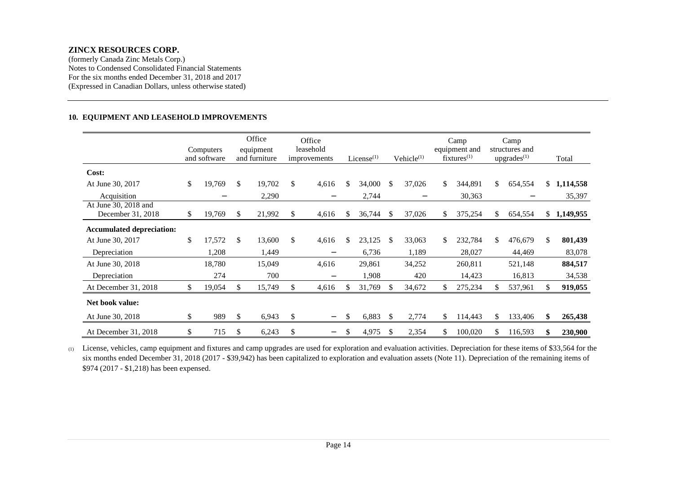(formerly Canada Zinc Metals Corp.) Notes to Condensed Consolidated Financial Statements For the six months ended December 31, 2018 and 2017(Expressed in Canadian Dollars, unless otherwise stated)

#### **10. EQUIPMENT AND LEASEHOLD IMPROVEMENTS**

|                                           | Computers<br>and software |     | Office<br>equipment<br>and furniture |     | Office<br>leasehold<br>improvements |    | License $(1)$ |               | Vehicle $(1)$     |     | Camp<br>equipment and<br>$fixtures^{(1)}$ |     | Camp<br>structures and<br>$upgrades^{(1)}$ |     | Total       |
|-------------------------------------------|---------------------------|-----|--------------------------------------|-----|-------------------------------------|----|---------------|---------------|-------------------|-----|-------------------------------------------|-----|--------------------------------------------|-----|-------------|
| Cost:                                     |                           |     |                                      |     |                                     |    |               |               |                   |     |                                           |     |                                            |     |             |
| At June 30, 2017                          | \$<br>19,769              | \$  | 19,702                               | \$  | 4,616                               | \$ | 34,000        | \$.           | 37,026            | \$  | 344,891                                   | \$  | 654,554                                    | \$  | 1,114,558   |
| Acquisition                               | $\overline{\phantom{0}}$  |     | 2,290                                |     | $\qquad \qquad$                     |    | 2,744         |               | $\qquad \qquad -$ |     | 30,363                                    |     | $\overline{\phantom{0}}$                   |     | 35,397      |
| At June 30, 2018 and<br>December 31, 2018 | \$<br>19,769              | \$. | 21,992                               | \$. | 4,616                               | S. | 36,744        | <sup>\$</sup> | 37,026            | \$  | 375,254                                   | S.  | 654,554                                    |     | \$1,149,955 |
| <b>Accumulated depreciation:</b>          |                           |     |                                      |     |                                     |    |               |               |                   |     |                                           |     |                                            |     |             |
| At June 30, 2017                          | \$<br>17,572              | \$  | 13,600                               | \$  | 4,616                               | \$ | 23,125        | \$            | 33,063            | \$  | 232,784                                   | \$. | 476,679                                    | \$  | 801,439     |
| Depreciation                              | 1,208                     |     | 1,449                                |     |                                     |    | 6,736         |               | 1,189             |     | 28,027                                    |     | 44,469                                     |     | 83,078      |
| At June 30, 2018                          | 18,780                    |     | 15,049                               |     | 4,616                               |    | 29,861        |               | 34,252            |     | 260,811                                   |     | 521,148                                    |     | 884,517     |
| Depreciation                              | 274                       |     | 700                                  |     | $\overline{\phantom{0}}$            |    | 1,908         |               | 420               |     | 14,423                                    |     | 16,813                                     |     | 34,538      |
| At December 31, 2018                      | \$<br>19,054              | S.  | 15,749                               |     | 4,616                               | S  | 31,769        | \$.           | 34,672            | \$  | 275,234                                   |     | 537,961                                    | \$. | 919,055     |
| Net book value:                           |                           |     |                                      |     |                                     |    |               |               |                   |     |                                           |     |                                            |     |             |
| At June 30, 2018                          | \$<br>989                 | \$  | 6,943                                | \$  | -                                   | \$ | 6,883         | <sup>\$</sup> | 2,774             | \$  | 114,443                                   | \$  | 133,406                                    | \$  | 265,438     |
| At December 31, 2018                      | \$<br>715                 | \$  | 6,243                                | \$  |                                     | \$ | 4,975         | S             | 2,354             | \$. | 100,020                                   |     | 116,593                                    | \$  | 230,900     |

(1) License, vehicles, camp equipment and fixtures and camp upgrades are used for exploration and evaluation activities. Depreciation for these items of \$33,564 for the six months ended December 31, 2018 (2017 - \$39,942) has been capitalized to exploration and evaluation assets (Note 11). Depreciation of the remaining items of \$974 (2017 - \$1,218) has been expensed.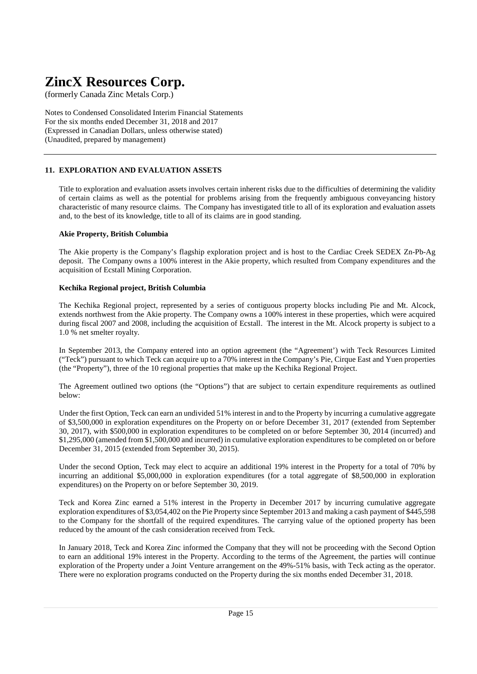(formerly Canada Zinc Metals Corp.)

Notes to Condensed Consolidated Interim Financial Statements For the six months ended December 31, 2018 and 2017 (Expressed in Canadian Dollars, unless otherwise stated) (Unaudited, prepared by management)

#### **11. EXPLORATION AND EVALUATION ASSETS**

Title to exploration and evaluation assets involves certain inherent risks due to the difficulties of determining the validity of certain claims as well as the potential for problems arising from the frequently ambiguous conveyancing history characteristic of many resource claims. The Company has investigated title to all of its exploration and evaluation assets and, to the best of its knowledge, title to all of its claims are in good standing.

#### **Akie Property, British Columbia**

The Akie property is the Company's flagship exploration project and is host to the Cardiac Creek SEDEX Zn-Pb-Ag deposit. The Company owns a 100% interest in the Akie property, which resulted from Company expenditures and the acquisition of Ecstall Mining Corporation.

#### **Kechika Regional project, British Columbia**

The Kechika Regional project, represented by a series of contiguous property blocks including Pie and Mt. Alcock, extends northwest from the Akie property. The Company owns a 100% interest in these properties, which were acquired during fiscal 2007 and 2008, including the acquisition of Ecstall. The interest in the Mt. Alcock property is subject to a 1.0 % net smelter royalty.

In September 2013, the Company entered into an option agreement (the "Agreement') with Teck Resources Limited ("Teck") pursuant to which Teck can acquire up to a 70% interest in the Company's Pie, Cirque East and Yuen properties (the "Property"), three of the 10 regional properties that make up the Kechika Regional Project.

The Agreement outlined two options (the "Options") that are subject to certain expenditure requirements as outlined below:

Under the first Option, Teck can earn an undivided 51% interest in and to the Property by incurring a cumulative aggregate of \$3,500,000 in exploration expenditures on the Property on or before December 31, 2017 (extended from September 30, 2017), with \$500,000 in exploration expenditures to be completed on or before September 30, 2014 (incurred) and \$1,295,000 (amended from \$1,500,000 and incurred) in cumulative exploration expenditures to be completed on or before December 31, 2015 (extended from September 30, 2015).

Under the second Option, Teck may elect to acquire an additional 19% interest in the Property for a total of 70% by incurring an additional \$5,000,000 in exploration expenditures (for a total aggregate of \$8,500,000 in exploration expenditures) on the Property on or before September 30, 2019.

Teck and Korea Zinc earned a 51% interest in the Property in December 2017 by incurring cumulative aggregate exploration expenditures of \$3,054,402 on the Pie Property since September 2013 and making a cash payment of \$445,598 to the Company for the shortfall of the required expenditures. The carrying value of the optioned property has been reduced by the amount of the cash consideration received from Teck.

In January 2018, Teck and Korea Zinc informed the Company that they will not be proceeding with the Second Option to earn an additional 19% interest in the Property. According to the terms of the Agreement, the parties will continue exploration of the Property under a Joint Venture arrangement on the 49%-51% basis, with Teck acting as the operator. There were no exploration programs conducted on the Property during the six months ended December 31, 2018.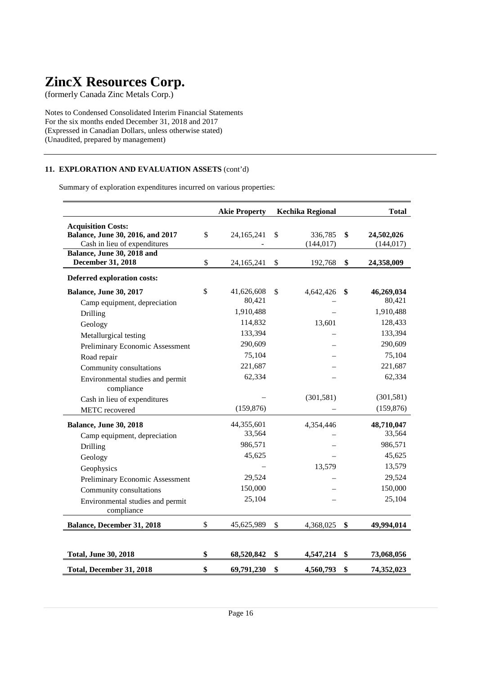(formerly Canada Zinc Metals Corp.)

Notes to Condensed Consolidated Interim Financial Statements For the six months ended December 31, 2018 and 2017 (Expressed in Canadian Dollars, unless otherwise stated) (Unaudited, prepared by management)

### **11. EXPLORATION AND EVALUATION ASSETS** (cont'd)

Summary of exploration expenditures incurred on various properties:

|                                                                                                                             | <b>Akie Property</b>                    | <b>Kechika Regional</b>     | <b>Total</b>                            |
|-----------------------------------------------------------------------------------------------------------------------------|-----------------------------------------|-----------------------------|-----------------------------------------|
| <b>Acquisition Costs:</b><br>Balance, June 30, 2016, and 2017<br>Cash in lieu of expenditures<br>Balance, June 30, 2018 and | \$<br>24,165,241                        | \$<br>336,785<br>(144, 017) | \$<br>24,502,026<br>(144, 017)          |
| December 31, 2018                                                                                                           | \$<br>24,165,241                        | \$<br>192,768               | \$<br>24,358,009                        |
| <b>Deferred exploration costs:</b>                                                                                          |                                         |                             |                                         |
| <b>Balance, June 30, 2017</b><br>Camp equipment, depreciation<br>Drilling                                                   | \$<br>41,626,608<br>80,421<br>1,910,488 | \$<br>4,642,426             | \$<br>46,269,034<br>80,421<br>1,910,488 |
| Geology<br>Metallurgical testing                                                                                            | 114,832<br>133,394                      | 13,601                      | 128,433<br>133,394                      |
| Preliminary Economic Assessment<br>Road repair                                                                              | 290,609<br>75,104                       |                             | 290,609<br>75,104                       |
| Community consultations<br>Environmental studies and permit                                                                 | 221,687<br>62,334                       |                             | 221,687<br>62,334                       |
| compliance<br>Cash in lieu of expenditures<br>METC recovered                                                                | (159, 876)                              | (301, 581)                  | (301, 581)<br>(159, 876)                |
|                                                                                                                             |                                         |                             |                                         |
| <b>Balance, June 30, 2018</b><br>Camp equipment, depreciation                                                               | 44,355,601<br>33,564<br>986,571         | 4,354,446                   | 48,710,047<br>33,564<br>986,571         |
| Drilling<br>Geology                                                                                                         | 45,625                                  |                             | 45,625                                  |
| Geophysics<br>Preliminary Economic Assessment                                                                               | 29,524                                  | 13,579                      | 13,579<br>29,524                        |
| Community consultations<br>Environmental studies and permit<br>compliance                                                   | 150,000<br>25,104                       |                             | 150,000<br>25,104                       |
| Balance, December 31, 2018                                                                                                  | \$<br>45,625,989                        | \$<br>4,368,025             | \$<br>49,994,014                        |
| <b>Total, June 30, 2018</b>                                                                                                 | \$<br>68,520,842                        | \$<br>4,547,214             | \$<br>73,068,056                        |
| Total, December 31, 2018                                                                                                    | \$<br>69,791,230                        | \$<br>4,560,793             | \$<br>74,352,023                        |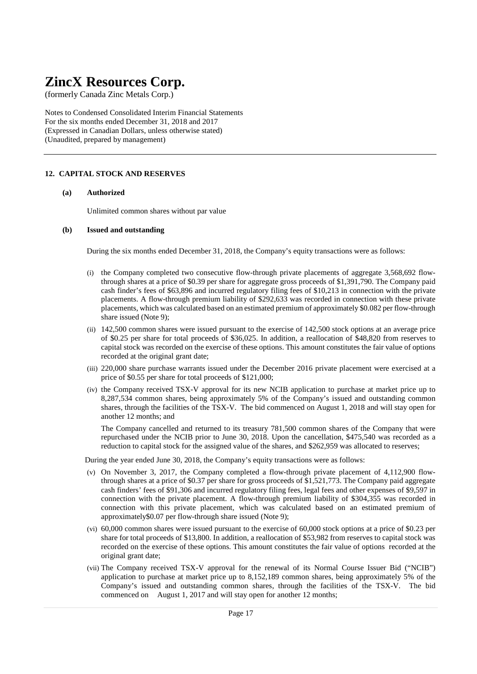(formerly Canada Zinc Metals Corp.)

Notes to Condensed Consolidated Interim Financial Statements For the six months ended December 31, 2018 and 2017 (Expressed in Canadian Dollars, unless otherwise stated) (Unaudited, prepared by management)

#### **12. CAPITAL STOCK AND RESERVES**

#### **(a) Authorized**

Unlimited common shares without par value

#### **(b) Issued and outstanding**

During the six months ended December 31, 2018, the Company's equity transactions were as follows:

- (i) the Company completed two consecutive flow-through private placements of aggregate 3,568,692 flowthrough shares at a price of \$0.39 per share for aggregate gross proceeds of \$1,391,790. The Company paid cash finder's fees of \$63,896 and incurred regulatory filing fees of \$10,213 in connection with the private placements. A flow-through premium liability of \$292,633 was recorded in connection with these private placements, which was calculated based on an estimated premium of approximately \$0.082 per flow-through share issued (Note 9);
- (ii) 142,500 common shares were issued pursuant to the exercise of 142,500 stock options at an average price of \$0.25 per share for total proceeds of \$36,025. In addition, a reallocation of \$48,820 from reserves to capital stock was recorded on the exercise of these options. This amount constitutes the fair value of options recorded at the original grant date;
- (iii) 220,000 share purchase warrants issued under the December 2016 private placement were exercised at a price of \$0.55 per share for total proceeds of \$121,000;
- (iv) the Company received TSX-V approval for its new NCIB application to purchase at market price up to 8,287,534 common shares, being approximately 5% of the Company's issued and outstanding common shares, through the facilities of the TSX-V. The bid commenced on August 1, 2018 and will stay open for another 12 months; and

The Company cancelled and returned to its treasury 781,500 common shares of the Company that were repurchased under the NCIB prior to June 30, 2018. Upon the cancellation, \$475,540 was recorded as a reduction to capital stock for the assigned value of the shares, and \$262,959 was allocated to reserves;

During the year ended June 30, 2018, the Company's equity transactions were as follows:

- (v) On November 3, 2017, the Company completed a flow-through private placement of 4,112,900 flowthrough shares at a price of \$0.37 per share for gross proceeds of \$1,521,773. The Company paid aggregate cash finders' fees of \$91,306 and incurred regulatory filing fees, legal fees and other expenses of \$9,597 in connection with the private placement. A flow-through premium liability of \$304,355 was recorded in connection with this private placement, which was calculated based on an estimated premium of approximately\$0.07 per flow-through share issued (Note 9);
- (vi) 60,000 common shares were issued pursuant to the exercise of 60,000 stock options at a price of \$0.23 per share for total proceeds of \$13,800. In addition, a reallocation of \$53,982 from reserves to capital stock was recorded on the exercise of these options. This amount constitutes the fair value of options recorded at the original grant date;
- (vii) The Company received TSX-V approval for the renewal of its Normal Course Issuer Bid ("NCIB") application to purchase at market price up to 8,152,189 common shares, being approximately 5% of the Company's issued and outstanding common shares, through the facilities of the TSX-V. The bid commenced on August 1, 2017 and will stay open for another 12 months;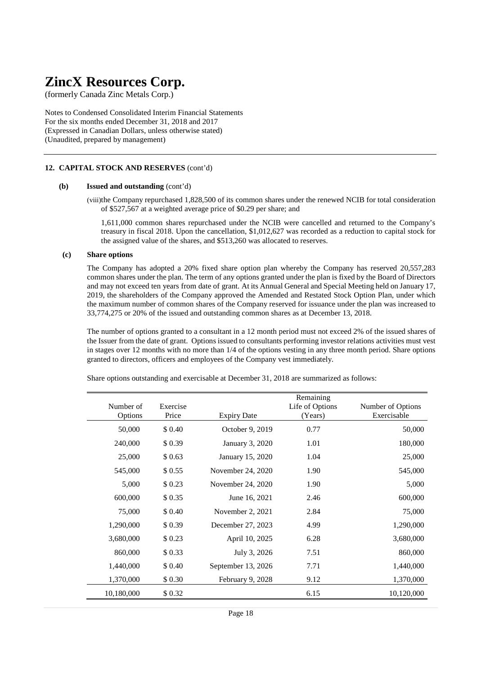(formerly Canada Zinc Metals Corp.)

Notes to Condensed Consolidated Interim Financial Statements For the six months ended December 31, 2018 and 2017 (Expressed in Canadian Dollars, unless otherwise stated) (Unaudited, prepared by management)

#### **12. CAPITAL STOCK AND RESERVES** (cont'd)

#### **(b) Issued and outstanding** (cont'd)

(viii)the Company repurchased 1,828,500 of its common shares under the renewed NCIB for total consideration of \$527,567 at a weighted average price of \$0.29 per share; and

1,611,000 common shares repurchased under the NCIB were cancelled and returned to the Company's treasury in fiscal 2018. Upon the cancellation, \$1,012,627 was recorded as a reduction to capital stock for the assigned value of the shares, and \$513,260 was allocated to reserves.

#### **(c) Share options**

 The Company has adopted a 20% fixed share option plan whereby the Company has reserved 20,557,283 common shares under the plan. The term of any options granted under the plan is fixed by the Board of Directors and may not exceed ten years from date of grant. At its Annual General and Special Meeting held on January 17, 2019, the shareholders of the Company approved the Amended and Restated Stock Option Plan, under which the maximum number of common shares of the Company reserved for issuance under the plan was increased to 33,774,275 or 20% of the issued and outstanding common shares as at December 13, 2018.

 The number of options granted to a consultant in a 12 month period must not exceed 2% of the issued shares of the Issuer from the date of grant. Options issued to consultants performing investor relations activities must vest in stages over 12 months with no more than 1/4 of the options vesting in any three month period. Share options granted to directors, officers and employees of the Company vest immediately.

| Number of<br>Options | Exercise<br>Price | <b>Expiry Date</b> | Remaining<br>Life of Options<br>(Years) | Number of Options<br>Exercisable |
|----------------------|-------------------|--------------------|-----------------------------------------|----------------------------------|
| 50,000               | \$ 0.40           | October 9, 2019    | 0.77                                    | 50,000                           |
| 240,000              | \$0.39            | January 3, 2020    | 1.01                                    | 180,000                          |
| 25,000               | \$0.63            | January 15, 2020   | 1.04                                    | 25,000                           |
| 545,000              | \$ 0.55           | November 24, 2020  | 1.90                                    | 545,000                          |
| 5,000                | \$0.23            | November 24, 2020  | 1.90                                    | 5,000                            |
| 600,000              | \$ 0.35           | June 16, 2021      | 2.46                                    | 600,000                          |
| 75,000               | \$ 0.40           | November 2, 2021   | 2.84                                    | 75,000                           |
| 1,290,000            | \$0.39            | December 27, 2023  | 4.99                                    | 1,290,000                        |
| 3,680,000            | \$0.23            | April 10, 2025     | 6.28                                    | 3,680,000                        |
| 860,000              | \$0.33            | July 3, 2026       | 7.51                                    | 860,000                          |
| 1,440,000            | \$ 0.40           | September 13, 2026 | 7.71                                    | 1,440,000                        |
| 1,370,000            | \$ 0.30           | February 9, 2028   | 9.12                                    | 1,370,000                        |
| 10,180,000           | \$0.32            |                    | 6.15                                    | 10,120,000                       |

Share options outstanding and exercisable at December 31, 2018 are summarized as follows: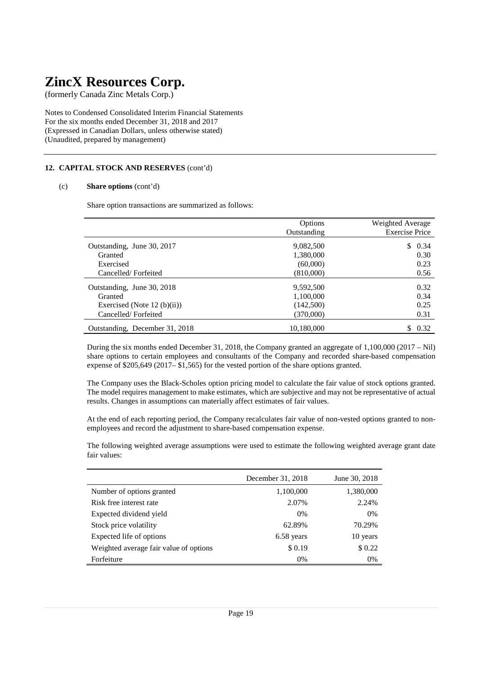(formerly Canada Zinc Metals Corp.)

Notes to Condensed Consolidated Interim Financial Statements For the six months ended December 31, 2018 and 2017 (Expressed in Canadian Dollars, unless otherwise stated) (Unaudited, prepared by management)

### **12. CAPITAL STOCK AND RESERVES** (cont'd)

#### (c) **Share options** (cont'd)

Share option transactions are summarized as follows:

|                                | Options     | Weighted Average      |
|--------------------------------|-------------|-----------------------|
|                                | Outstanding | <b>Exercise Price</b> |
| Outstanding, June 30, 2017     | 9,082,500   | \$0.34                |
| Granted                        | 1,380,000   | 0.30                  |
| Exercised                      | (60,000)    | 0.23                  |
| Cancelled/Forfeited            | (810,000)   | 0.56                  |
| Outstanding, June 30, 2018     | 9,592,500   | 0.32                  |
| Granted                        | 1,100,000   | 0.34                  |
| Exercised (Note 12 $(b)(ii)$ ) | (142,500)   | 0.25                  |
| Cancelled/Forfeited            | (370,000)   | 0.31                  |
| Outstanding, December 31, 2018 | 10,180,000  | S.<br>0.32            |

During the six months ended December 31, 2018, the Company granted an aggregate of 1,100,000 (2017 – Nil) share options to certain employees and consultants of the Company and recorded share-based compensation expense of \$205,649 (2017– \$1,565) for the vested portion of the share options granted.

The Company uses the Black-Scholes option pricing model to calculate the fair value of stock options granted. The model requires management to make estimates, which are subjective and may not be representative of actual results. Changes in assumptions can materially affect estimates of fair values.

At the end of each reporting period, the Company recalculates fair value of non-vested options granted to nonemployees and record the adjustment to share-based compensation expense.

The following weighted average assumptions were used to estimate the following weighted average grant date fair values:

|                                        | December 31, 2018 | June 30, 2018 |
|----------------------------------------|-------------------|---------------|
| Number of options granted              | 1,100,000         | 1,380,000     |
| Risk free interest rate                | 2.07%             | 2.24%         |
| Expected dividend yield                | 0%                | 0%            |
| Stock price volatility                 | 62.89%            | 70.29%        |
| Expected life of options               | 6.58 years        | 10 years      |
| Weighted average fair value of options | \$0.19            | \$0.22        |
| Forfeiture                             | 0%                | 0%            |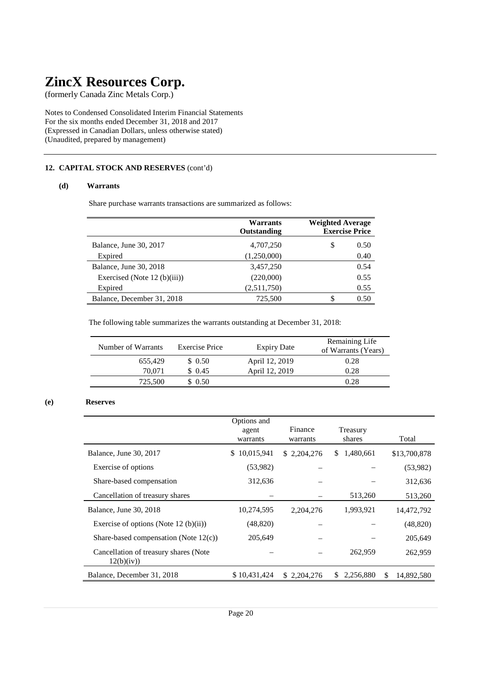(formerly Canada Zinc Metals Corp.)

Notes to Condensed Consolidated Interim Financial Statements For the six months ended December 31, 2018 and 2017 (Expressed in Canadian Dollars, unless otherwise stated) (Unaudited, prepared by management)

### **12. CAPITAL STOCK AND RESERVES** (cont'd)

#### **(d) Warrants**

Share purchase warrants transactions are summarized as follows:

|                                | Warrants<br>Outstanding | <b>Weighted Average</b><br><b>Exercise Price</b> |
|--------------------------------|-------------------------|--------------------------------------------------|
| Balance, June 30, 2017         | 4,707,250               | \$<br>0.50                                       |
| Expired                        | (1,250,000)             | 0.40                                             |
| Balance, June 30, 2018         | 3,457,250               | 0.54                                             |
| Exercised (Note $12$ (b)(iii)) | (220,000)               | 0.55                                             |
| Expired                        | (2,511,750)             | 0.55                                             |
| Balance, December 31, 2018     | 725,500                 | 0.50<br>\$                                       |

The following table summarizes the warrants outstanding at December 31, 2018:

| Number of Warrants | Exercise Price | <b>Expiry Date</b> | Remaining Life<br>of Warrants (Years) |
|--------------------|----------------|--------------------|---------------------------------------|
| 655.429            | \$0.50         | April 12, 2019     | 0.28                                  |
| 70.071             | \$0.45         | April 12, 2019     | 0.28                                  |
| 725,500            | \$0.50         |                    | 0.28                                  |

### **(e) Reserves**

|                                                     | Options and<br>agent<br>warrants | Finance<br>warrants | Treasury<br>shares |     | Total        |
|-----------------------------------------------------|----------------------------------|---------------------|--------------------|-----|--------------|
| Balance, June 30, 2017                              | 10,015,941<br>S.                 | \$2,204,276         | 1,480,661<br>S.    |     | \$13,700,878 |
| Exercise of options                                 | (53,982)                         |                     |                    |     | (53,982)     |
| Share-based compensation                            | 312,636                          |                     |                    |     | 312,636      |
| Cancellation of treasury shares                     |                                  |                     | 513,260            |     | 513,260      |
| Balance, June 30, 2018                              | 10,274,595                       | 2, 204, 276         | 1,993,921          |     | 14,472,792   |
| Exercise of options (Note 12 (b)(ii))               | (48, 820)                        |                     |                    |     | (48, 820)    |
| Share-based compensation (Note $12(c)$ )            | 205,649                          |                     |                    |     | 205,649      |
| Cancellation of treasury shares (Note<br>12(b)(iv)) |                                  |                     | 262,959            |     | 262,959      |
| Balance, December 31, 2018                          | \$10,431,424                     | \$ 2,204,276        | 2,256,880<br>S     | \$. | 14,892,580   |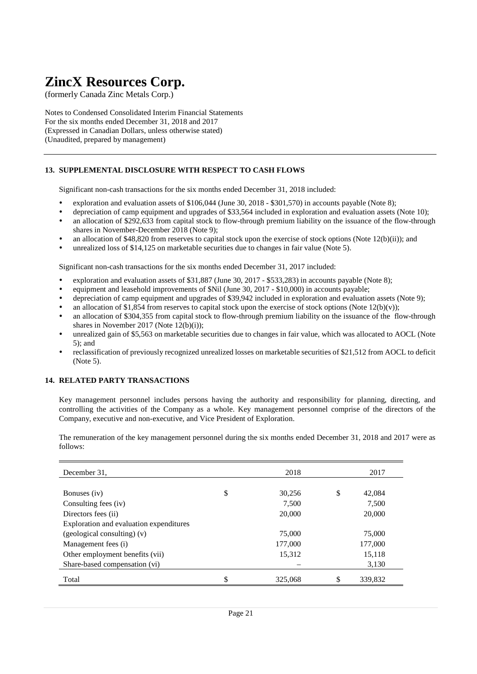(formerly Canada Zinc Metals Corp.)

Notes to Condensed Consolidated Interim Financial Statements For the six months ended December 31, 2018 and 2017 (Expressed in Canadian Dollars, unless otherwise stated) (Unaudited, prepared by management)

### **13. SUPPLEMENTAL DISCLOSURE WITH RESPECT TO CASH FLOWS**

Significant non-cash transactions for the six months ended December 31, 2018 included:

- exploration and evaluation assets of \$106,044 (June 30, 2018 \$301,570) in accounts payable (Note 8);
- depreciation of camp equipment and upgrades of \$33,564 included in exploration and evaluation assets (Note 10);
- an allocation of \$292,633 from capital stock to flow-through premium liability on the issuance of the flow-through shares in November-December 2018 (Note 9);
- an allocation of \$48,820 from reserves to capital stock upon the exercise of stock options (Note 12(b)(ii)); and
- unrealized loss of \$14,125 on marketable securities due to changes in fair value (Note 5).

Significant non-cash transactions for the six months ended December 31, 2017 included:

- exploration and evaluation assets of \$31,887 (June 30, 2017 \$533,283) in accounts payable (Note 8);
- equipment and leasehold improvements of \$Nil (June 30, 2017 \$10,000) in accounts payable;
- depreciation of camp equipment and upgrades of \$39,942 included in exploration and evaluation assets (Note 9);
- an allocation of \$1,854 from reserves to capital stock upon the exercise of stock options (Note  $12(b)(v)$ );
- an allocation of \$304,355 from capital stock to flow-through premium liability on the issuance of the flow-through shares in November 2017 (Note 12(b)(i));
- unrealized gain of \$5,563 on marketable securities due to changes in fair value, which was allocated to AOCL (Note 5); and
- reclassification of previously recognized unrealized losses on marketable securities of \$21,512 from AOCL to deficit (Note 5).

#### **14. RELATED PARTY TRANSACTIONS**

Key management personnel includes persons having the authority and responsibility for planning, directing, and controlling the activities of the Company as a whole. Key management personnel comprise of the directors of the Company, executive and non-executive, and Vice President of Exploration.

The remuneration of the key management personnel during the six months ended December 31, 2018 and 2017 were as follows:

| December 31.                            | 2018          | 2017          |
|-----------------------------------------|---------------|---------------|
|                                         |               |               |
| Bonuses (iv)                            | \$<br>30,256  | \$<br>42,084  |
| Consulting fees (iv)                    | 7,500         | 7,500         |
| Directors fees (ii)                     | 20,000        | 20,000        |
| Exploration and evaluation expenditures |               |               |
| $(geological$ consulting) $(v)$         | 75,000        | 75,000        |
| Management fees (i)                     | 177,000       | 177,000       |
| Other employment benefits (vii)         | 15,312        | 15,118        |
| Share-based compensation (vi)           |               | 3,130         |
| Total                                   | \$<br>325,068 | \$<br>339.832 |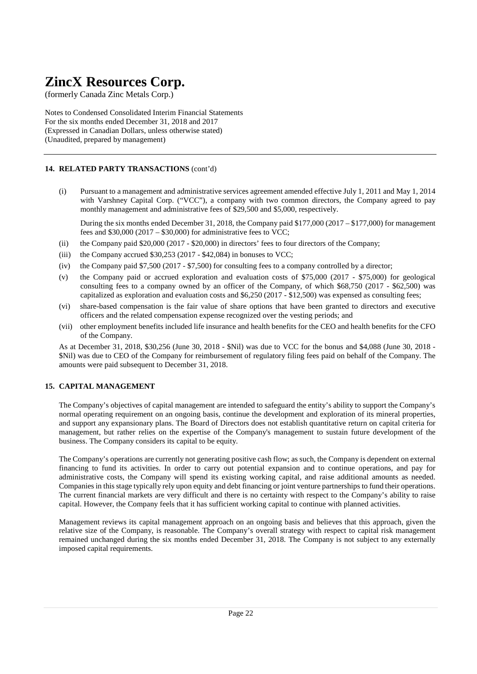(formerly Canada Zinc Metals Corp.)

Notes to Condensed Consolidated Interim Financial Statements For the six months ended December 31, 2018 and 2017 (Expressed in Canadian Dollars, unless otherwise stated) (Unaudited, prepared by management)

### **14. RELATED PARTY TRANSACTIONS** (cont'd)

(i) Pursuant to a management and administrative services agreement amended effective July 1, 2011 and May 1, 2014 with Varshney Capital Corp. ("VCC"), a company with two common directors, the Company agreed to pay monthly management and administrative fees of \$29,500 and \$5,000, respectively.

During the six months ended December 31, 2018, the Company paid \$177,000 (2017 – \$177,000) for management fees and  $$30,000 (2017 - $30,000)$  for administrative fees to VCC;

- (ii) the Company paid \$20,000 (2017 \$20,000) in directors' fees to four directors of the Company;
- (iii) the Company accrued  $$30,253$  (2017  $$42,084$ ) in bonuses to VCC;
- (iv) the Company paid \$7,500 (2017 \$7,500) for consulting fees to a company controlled by a director;
- (v) the Company paid or accrued exploration and evaluation costs of \$75,000 (2017 \$75,000) for geological consulting fees to a company owned by an officer of the Company, of which \$68,750 (2017 - \$62,500) was capitalized as exploration and evaluation costs and \$6,250 (2017 - \$12,500) was expensed as consulting fees;
- (vi) share-based compensation is the fair value of share options that have been granted to directors and executive officers and the related compensation expense recognized over the vesting periods; and
- (vii) other employment benefits included life insurance and health benefits for the CEO and health benefits for the CFO of the Company.

As at December 31, 2018, \$30,256 (June 30, 2018 - \$Nil) was due to VCC for the bonus and \$4,088 (June 30, 2018 - \$Nil) was due to CEO of the Company for reimbursement of regulatory filing fees paid on behalf of the Company. The amounts were paid subsequent to December 31, 2018.

### **15. CAPITAL MANAGEMENT**

The Company's objectives of capital management are intended to safeguard the entity's ability to support the Company's normal operating requirement on an ongoing basis, continue the development and exploration of its mineral properties, and support any expansionary plans. The Board of Directors does not establish quantitative return on capital criteria for management, but rather relies on the expertise of the Company's management to sustain future development of the business. The Company considers its capital to be equity.

The Company's operations are currently not generating positive cash flow; as such, the Company is dependent on external financing to fund its activities. In order to carry out potential expansion and to continue operations, and pay for administrative costs, the Company will spend its existing working capital, and raise additional amounts as needed. Companies in this stage typically rely upon equity and debt financing or joint venture partnerships to fund their operations. The current financial markets are very difficult and there is no certainty with respect to the Company's ability to raise capital. However, the Company feels that it has sufficient working capital to continue with planned activities.

Management reviews its capital management approach on an ongoing basis and believes that this approach, given the relative size of the Company, is reasonable. The Company's overall strategy with respect to capital risk management remained unchanged during the six months ended December 31, 2018. The Company is not subject to any externally imposed capital requirements.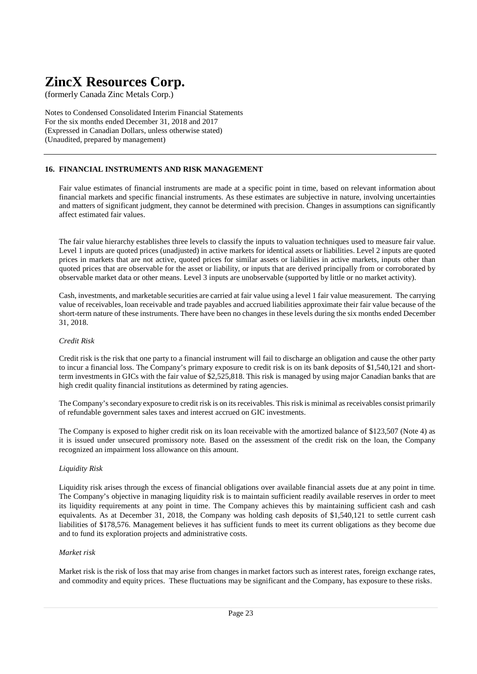(formerly Canada Zinc Metals Corp.)

Notes to Condensed Consolidated Interim Financial Statements For the six months ended December 31, 2018 and 2017 (Expressed in Canadian Dollars, unless otherwise stated) (Unaudited, prepared by management)

### **16. FINANCIAL INSTRUMENTS AND RISK MANAGEMENT**

Fair value estimates of financial instruments are made at a specific point in time, based on relevant information about financial markets and specific financial instruments. As these estimates are subjective in nature, involving uncertainties and matters of significant judgment, they cannot be determined with precision. Changes in assumptions can significantly affect estimated fair values.

The fair value hierarchy establishes three levels to classify the inputs to valuation techniques used to measure fair value. Level 1 inputs are quoted prices (unadjusted) in active markets for identical assets or liabilities. Level 2 inputs are quoted prices in markets that are not active, quoted prices for similar assets or liabilities in active markets, inputs other than quoted prices that are observable for the asset or liability, or inputs that are derived principally from or corroborated by observable market data or other means. Level 3 inputs are unobservable (supported by little or no market activity).

Cash, investments, and marketable securities are carried at fair value using a level 1 fair value measurement. The carrying value of receivables, loan receivable and trade payables and accrued liabilities approximate their fair value because of the short-term nature of these instruments. There have been no changes in these levels during the six months ended December 31, 2018.

#### *Credit Risk*

Credit risk is the risk that one party to a financial instrument will fail to discharge an obligation and cause the other party to incur a financial loss. The Company's primary exposure to credit risk is on its bank deposits of \$1,540,121 and shortterm investments in GICs with the fair value of \$2,525,818. This risk is managed by using major Canadian banks that are high credit quality financial institutions as determined by rating agencies.

The Company's secondary exposure to credit risk is on its receivables. This risk is minimal as receivables consist primarily of refundable government sales taxes and interest accrued on GIC investments.

The Company is exposed to higher credit risk on its loan receivable with the amortized balance of \$123,507 (Note 4) as it is issued under unsecured promissory note. Based on the assessment of the credit risk on the loan, the Company recognized an impairment loss allowance on this amount.

### *Liquidity Risk*

Liquidity risk arises through the excess of financial obligations over available financial assets due at any point in time. The Company's objective in managing liquidity risk is to maintain sufficient readily available reserves in order to meet its liquidity requirements at any point in time. The Company achieves this by maintaining sufficient cash and cash equivalents. As at December 31, 2018, the Company was holding cash deposits of \$1,540,121 to settle current cash liabilities of \$178,576. Management believes it has sufficient funds to meet its current obligations as they become due and to fund its exploration projects and administrative costs.

#### *Market risk*

Market risk is the risk of loss that may arise from changes in market factors such as interest rates, foreign exchange rates, and commodity and equity prices. These fluctuations may be significant and the Company, has exposure to these risks.